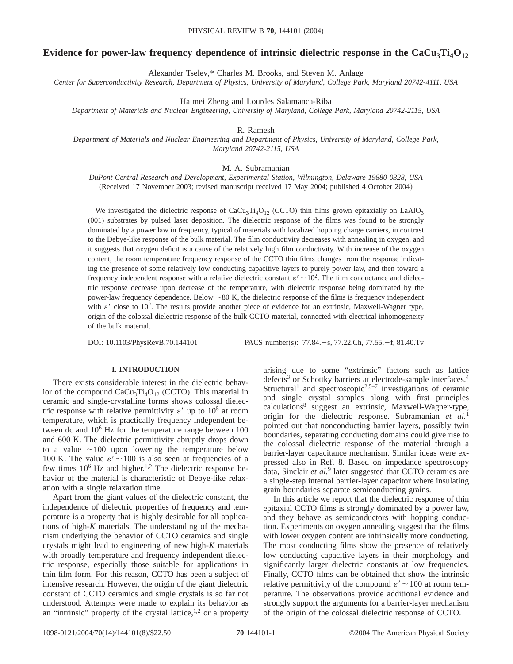# **Evidence for power-law frequency dependence of intrinsic dielectric response in the**  $CaCu<sub>3</sub>Ti<sub>4</sub>O<sub>12</sub>$

Alexander Tselev,\* Charles M. Brooks, and Steven M. Anlage

*Center for Superconductivity Research, Department of Physics, University of Maryland, College Park, Maryland 20742-4111, USA*

Haimei Zheng and Lourdes Salamanca-Riba

*Department of Materials and Nuclear Engineering, University of Maryland, College Park, Maryland 20742-2115, USA*

R. Ramesh

*Department of Materials and Nuclear Engineering and Department of Physics, University of Maryland, College Park, Maryland 20742-2115, USA*

M. A. Subramanian

*DuPont Central Research and Development, Experimental Station, Wilmington, Delaware 19880-0328, USA* (Received 17 November 2003; revised manuscript received 17 May 2004; published 4 October 2004)

We investigated the dielectric response of  $CaCu<sub>3</sub>Ti<sub>4</sub>O<sub>12</sub>$  (CCTO) thin films grown epitaxially on LaAlO<sub>3</sub> (001) substrates by pulsed laser deposition. The dielectric response of the films was found to be strongly dominated by a power law in frequency, typical of materials with localized hopping charge carriers, in contrast to the Debye-like response of the bulk material. The film conductivity decreases with annealing in oxygen, and it suggests that oxygen deficit is a cause of the relatively high film conductivity. With increase of the oxygen content, the room temperature frequency response of the CCTO thin films changes from the response indicating the presence of some relatively low conducting capacitive layers to purely power law, and then toward a frequency independent response with a relative dielectric constant  $\varepsilon' \sim 10^2$ . The film conductance and dielectric response decrease upon decrease of the temperature, with dielectric response being dominated by the power-law frequency dependence. Below  $\sim80$  K, the dielectric response of the films is frequency independent with  $\varepsilon'$  close to 10<sup>2</sup>. The results provide another piece of evidence for an extrinsic, Maxwell-Wagner type, origin of the colossal dielectric response of the bulk CCTO material, connected with electrical inhomogeneity of the bulk material.

DOI: 10.1103/PhysRevB.70.144101 PACS number(s): 77.84. - s, 77.22.Ch, 77.55. + f, 81.40.Tv

#### **I. INTRODUCTION**

There exists considerable interest in the dielectric behavior of the compound  $CaCu<sub>3</sub>Ti<sub>4</sub>O<sub>12</sub>$  (CCTO). This material in ceramic and single-crystalline forms shows colossal dielectric response with relative permittivity  $\varepsilon'$  up to  $10^5$  at room temperature, which is practically frequency independent between dc and  $10^6$  Hz for the temperature range between  $100$ and 600 K. The dielectric permittivity abruptly drops down to a value  $\sim$ 100 upon lowering the temperature below 100 K. The value  $\varepsilon' \sim 100$  is also seen at frequencies of a few times  $10^6$  Hz and higher.<sup>1,2</sup> The dielectric response behavior of the material is characteristic of Debye-like relaxation with a single relaxation time.

Apart from the giant values of the dielectric constant, the independence of dielectric properties of frequency and temperature is a property that is highly desirable for all applications of high-*K* materials. The understanding of the mechanism underlying the behavior of CCTO ceramics and single crystals might lead to engineering of new high-*K* materials with broadly temperature and frequency independent dielectric response, especially those suitable for applications in thin film form. For this reason, CCTO has been a subject of intensive research. However, the origin of the giant dielectric constant of CCTO ceramics and single crystals is so far not understood. Attempts were made to explain its behavior as an "intrinsic" property of the crystal lattice, $1,2$  or a property

arising due to some "extrinsic" factors such as lattice defects<sup>3</sup> or Schottky barriers at electrode-sample interfaces.<sup>4</sup> Structural<sup>1</sup> and spectroscopic<sup>2,5–7</sup> investigations of ceramic and single crystal samples along with first principles calculations8 suggest an extrinsic, Maxwell-Wagner-type, origin for the dielectric response. Subramanian *et al.*<sup>1</sup> pointed out that nonconducting barrier layers, possibly twin boundaries, separating conducting domains could give rise to the colossal dielectric response of the material through a barrier-layer capacitance mechanism. Similar ideas were expressed also in Ref. 8. Based on impedance spectroscopy data, Sinclair *et al.*<sup>9</sup> later suggested that CCTO ceramics are a single-step internal barrier-layer capacitor where insulating grain boundaries separate semiconducting grains.

In this article we report that the dielectric response of thin epitaxial CCTO films is strongly dominated by a power law, and they behave as semiconductors with hopping conduction. Experiments on oxygen annealing suggest that the films with lower oxygen content are intrinsically more conducting. The most conducting films show the presence of relatively low conducting capacitive layers in their morphology and significantly larger dielectric constants at low frequencies. Finally, CCTO films can be obtained that show the intrinsic relative permittivity of the compound  $\varepsilon' \sim 100$  at room temperature. The observations provide additional evidence and strongly support the arguments for a barrier-layer mechanism of the origin of the colossal dielectric response of CCTO.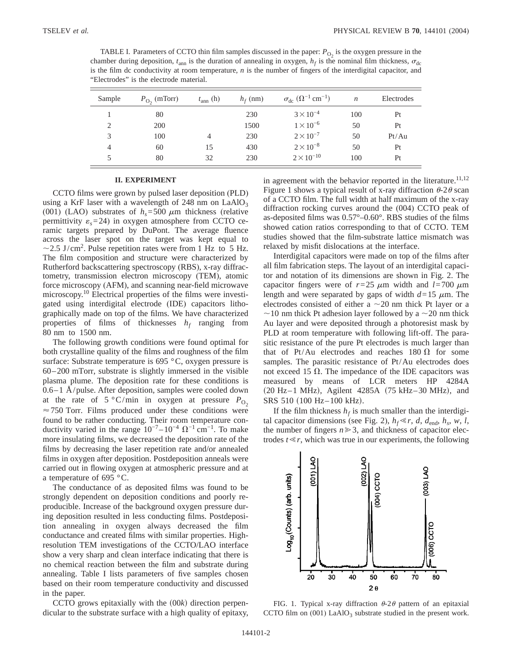TABLE I. Parameters of CCTO thin film samples discussed in the paper:  $P_{\text{O}_2}$  is the oxygen pressure in the chamber during deposition,  $t_{\text{ann}}$  is the duration of annealing in oxygen,  $h_f$  is the nominal film thickness,  $\sigma_{\text{dc}}$ is the film dc conductivity at room temperature, *n* is the number of fingers of the interdigital capacitor, and "Electrodes" is the electrode material.

| Sample | $P_{\text{O}_2}$ (mTorr) | $t_{\text{ann}}$ (h) | $h_f$ (nm) | $\sigma_{\rm dc}$ $(\Omega^{-1}$ cm <sup>-1</sup> ) | $\boldsymbol{n}$ | Electrodes |
|--------|--------------------------|----------------------|------------|-----------------------------------------------------|------------------|------------|
|        | 80                       |                      | 230        | $3 \times 10^{-4}$                                  | 100              | Pt         |
| 2      | 200                      |                      | 1500       | $1 \times 10^{-6}$                                  | 50               | Pt         |
| 3      | 100                      | 4                    | 230        | $2 \times 10^{-7}$                                  | 50               | Pt/Au      |
| 4      | 60                       | 15                   | 430        | $2 \times 10^{-8}$                                  | 50               | Pt         |
| 5      | 80                       | 32                   | 230        | $2 \times 10^{-10}$                                 | 100              | Pt         |

#### **II. EXPERIMENT**

CCTO films were grown by pulsed laser deposition (PLD) using a KrF laser with a wavelength of 248 nm on  $LaAlO<sub>3</sub>$ (001) (LAO) substrates of  $h<sub>s</sub>=500 \mu m$  thickness (relative permittivity  $\varepsilon$ <sub>s</sub>=24) in oxygen atmosphere from CCTO ceramic targets prepared by DuPont. The average fluence across the laser spot on the target was kept equal to  $\sim$ 2.5 J/cm<sup>2</sup>. Pulse repetition rates were from 1 Hz to 5 Hz. The film composition and structure were characterized by Rutherford backscattering spectroscopy (RBS), x-ray diffractometry, transmission electron microscopy (TEM), atomic force microscopy (AFM), and scanning near-field microwave microscopy.10 Electrical properties of the films were investigated using interdigital electrode (IDE) capacitors lithographically made on top of the films. We have characterized properties of films of thicknesses  $h_f$  ranging from 80 nm to 1500 nm.

The following growth conditions were found optimal for both crystalline quality of the films and roughness of the film surface: Substrate temperature is 695 °C, oxygen pressure is 60–200 mTorr, substrate is slightly immersed in the visible plasma plume. The deposition rate for these conditions is  $0.6-1$  Å/pulse. After deposition, samples were cooled down at the rate of  $5^{\circ}$ C/min in oxygen at pressure  $P_{\text{O}_2}$  $\approx$  750 Torr. Films produced under these conditions were found to be rather conducting. Their room temperature conductivity varied in the range  $10^{-7} - 10^{-4} \Omega^{-1}$  cm<sup>-1</sup>. To make more insulating films, we decreased the deposition rate of the films by decreasing the laser repetition rate and/or annealed films in oxygen after deposition. Postdeposition anneals were carried out in flowing oxygen at atmospheric pressure and at a temperature of 695 °C.

The conductance of as deposited films was found to be strongly dependent on deposition conditions and poorly reproducible. Increase of the background oxygen pressure during deposition resulted in less conducting films. Postdeposition annealing in oxygen always decreased the film conductance and created films with similar properties. Highresolution TEM investigations of the CCTO/LAO interface show a very sharp and clean interface indicating that there is no chemical reaction between the film and substrate during annealing. Table I lists parameters of five samples chosen based on their room temperature conductivity and discussed in the paper.

CCTO grows epitaxially with the  $(00k)$  direction perpendicular to the substrate surface with a high quality of epitaxy, in agreement with the behavior reported in the literature.<sup>11,12</sup> Figure 1 shows a typical result of x-ray diffraction  $\theta$ -2 $\theta$  scan of a CCTO film. The full width at half maximum of the x-ray diffraction rocking curves around the (004) CCTO peak of as-deposited films was 0.57°–0.60°. RBS studies of the films showed cation ratios corresponding to that of CCTO. TEM studies showed that the film-substrate lattice mismatch was relaxed by misfit dislocations at the interface.

Interdigital capacitors were made on top of the films after all film fabrication steps. The layout of an interdigital capacitor and notation of its dimensions are shown in Fig. 2. The capacitor fingers were of  $r=25 \mu m$  width and  $l=700 \mu m$ length and were separated by gaps of width  $d=15 \mu m$ . The electrodes consisted of either a  $\sim$  20 nm thick Pt layer or a  $\sim$ 10 nm thick Pt adhesion layer followed by a  $\sim$ 20 nm thick Au layer and were deposited through a photoresist mask by PLD at room temperature with following lift-off. The parasitic resistance of the pure Pt electrodes is much larger than that of Pt/Au electrodes and reaches 180  $\Omega$  for some samples. The parasitic resistance of Pt/Au electrodes does not exceed 15  $\Omega$ . The impedance of the IDE capacitors was measured by means of LCR meters HP 4284A  $(20$  Hz–1 MHz), Agilent 4285A  $(75$  kHz–30 MHz), and SRS 510 (100 Hz-100 kHz).

If the film thickness  $h_f$  is much smaller than the interdigital capacitor dimensions (see Fig. 2),  $h_f \ll r$ , *d*,  $d_{\text{end}}$ ,  $h_s$ , *w*, *l*, the number of fingers  $n \geq 3$ , and thickness of capacitor electrodes  $t \le r$ , which was true in our experiments, the following



FIG. 1. Typical x-ray diffraction  $\theta$ -2 $\theta$  pattern of an epitaxial CCTO film on  $(001)$  LaAlO<sub>3</sub> substrate studied in the present work.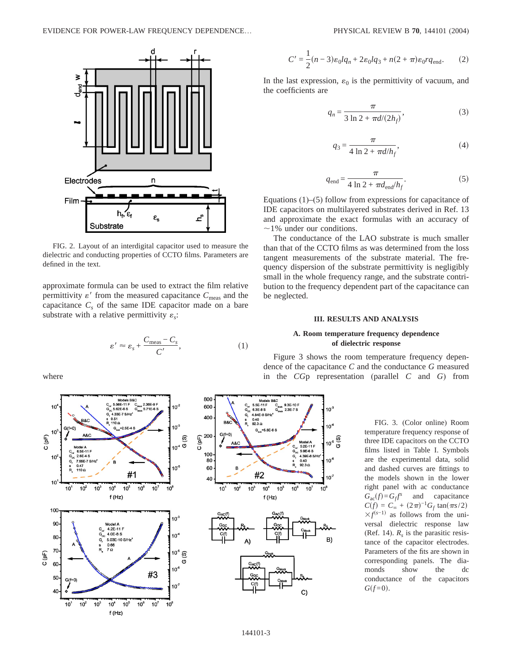

FIG. 2. Layout of an interdigital capacitor used to measure the dielectric and conducting properties of CCTO films. Parameters are defined in the text.

approximate formula can be used to extract the film relative permittivity  $\varepsilon'$  from the measured capacitance  $C_{\text{meas}}$  and the capacitance  $C<sub>s</sub>$  of the same IDE capacitor made on a bare substrate with a relative permittivity  $\varepsilon$ .

$$
\varepsilon' \approx \varepsilon_s + \frac{C_{\text{meas}} - C_s}{C'},\tag{1}
$$

where



$$
C' = \frac{1}{2}(n-3)\varepsilon_0 l q_n + 2\varepsilon_0 l q_3 + n(2+\pi)\varepsilon_0 r q_{\text{end}}.
$$
 (2)

In the last expression,  $\varepsilon_0$  is the permittivity of vacuum, and the coefficients are

$$
q_n = \frac{\pi}{3 \ln 2 + \pi d/(2h_f)},
$$
\n(3)

$$
q_3 = \frac{\pi}{4 \ln 2 + \pi d/h_f},
$$
 (4)

$$
q_{\text{end}} = \frac{\pi}{4 \ln 2 + \pi d_{\text{end}}/h_f}.
$$
 (5)

Equations (1)–(5) follow from expressions for capacitance of IDE capacitors on multilayered substrates derived in Ref. 13 and approximate the exact formulas with an accuracy of  $\sim$ 1% under our conditions.

The conductance of the LAO substrate is much smaller than that of the CCTO films as was determined from the loss tangent measurements of the substrate material. The frequency dispersion of the substrate permittivity is negligibly small in the whole frequency range, and the substrate contribution to the frequency dependent part of the capacitance can be neglected.

# **III. RESULTS AND ANALYSIS**

# **A. Room temperature frequency dependence of dielectric response**

Figure 3 shows the room temperature frequency dependence of the capacitance *C* and the conductance *G* measured in the *CG*p representation (parallel *C* and *G*) from

 $10<sup>3</sup>$ 

 $10<sup>2</sup>$ 

 $10^6$ 

10<sup>-</sup>

 $10^6$ 

 $10^5 \frac{\omega}{9}$ 

FIG. 3. (Color online) Room temperature frequency response of three IDE capacitors on the CCTO films listed in Table I. Symbols are the experimental data, solid and dashed curves are fittings to the models shown in the lower right panel with ac conductance  $G_{ac}(f) = G_f f^s$  and capacitance  $C(f) = C_{\infty} + (2\pi)^{-1}G_f \tan(\pi s/2)$  $\times f^{(s-1)}$  as follows from the universal dielectric response law (Ref. 14).  $R_s$  is the parasitic resistance of the capacitor electrodes. Parameters of the fits are shown in corresponding panels. The diamonds show the dc conductance of the capacitors  $G(f=0)$ .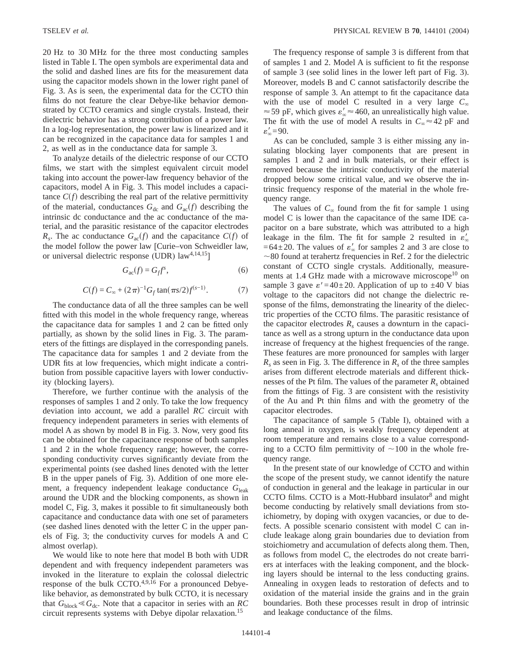20 Hz to 30 MHz for the three most conducting samples listed in Table I. The open symbols are experimental data and the solid and dashed lines are fits for the measurement data using the capacitor models shown in the lower right panel of Fig. 3. As is seen, the experimental data for the CCTO thin films do not feature the clear Debye-like behavior demonstrated by CCTO ceramics and single crystals. Instead, their dielectric behavior has a strong contribution of a power law. In a log-log representation, the power law is linearized and it can be recognized in the capacitance data for samples 1 and 2, as well as in the conductance data for sample 3.

To analyze details of the dielectric response of our CCTO films, we start with the simplest equivalent circuit model taking into account the power-law frequency behavior of the capacitors, model A in Fig. 3. This model includes a capacitance  $C(f)$  describing the real part of the relative permittivity of the material, conductances  $G_{dc}$  and  $G_{ac}(f)$  describing the intrinsic dc conductance and the ac conductance of the material, and the parasitic resistance of the capacitor electrodes  $R_s$ . The ac conductance  $G_{ac}(f)$  and the capacitance  $C(f)$  of the model follow the power law [Curie–von Schweidler law, or universal dielectric response (UDR)  $law^{4,14,15}$ ]

$$
G_{ac}(f) = G_f f^s,\tag{6}
$$

$$
C(f) = C_{\infty} + (2\pi)^{-1} G_f \tan(\pi s/2) f^{(s-1)}.
$$
 (7)

The conductance data of all the three samples can be well fitted with this model in the whole frequency range, whereas the capacitance data for samples 1 and 2 can be fitted only partially, as shown by the solid lines in Fig. 3. The parameters of the fittings are displayed in the corresponding panels. The capacitance data for samples 1 and 2 deviate from the UDR fits at low frequencies, which might indicate a contribution from possible capacitive layers with lower conductivity (blocking layers).

Therefore, we further continue with the analysis of the responses of samples 1 and 2 only. To take the low frequency deviation into account, we add a parallel *RC* circuit with frequency independent parameters in series with elements of model A as shown by model B in Fig. 3. Now, very good fits can be obtained for the capacitance response of both samples 1 and 2 in the whole frequency range; however, the corresponding conductivity curves significantly deviate from the experimental points (see dashed lines denoted with the letter B in the upper panels of Fig. 3). Addition of one more element, a frequency independent leakage conductance G<sub>leak</sub> around the UDR and the blocking components, as shown in model C, Fig. 3, makes it possible to fit simultaneously both capacitance and conductance data with one set of parameters (see dashed lines denoted with the letter C in the upper panels of Fig. 3; the conductivity curves for models A and C almost overlap).

We would like to note here that model B both with UDR dependent and with frequency independent parameters was invoked in the literature to explain the colossal dielectric response of the bulk CCTO. $4,9,16$  For a pronounced Debyelike behavior, as demonstrated by bulk CCTO, it is necessary that  $G_{block} \ll G_{dc}$ . Note that a capacitor in series with an *RC* circuit represents systems with Debye dipolar relaxation.<sup>15</sup>

The frequency response of sample 3 is different from that of samples 1 and 2. Model A is sufficient to fit the response of sample 3 (see solid lines in the lower left part of Fig. 3). Moreover, models B and C cannot satisfactorily describe the response of sample 3. An attempt to fit the capacitance data with the use of model C resulted in a very large  $C_\infty$  $\approx$  59 pF, which gives  $\varepsilon'_{\infty} \approx$  460, an unrealistically high value. The fit with the use of model A results in  $C_{\infty} \approx 42$  pF and  $\varepsilon_{\infty}^{\prime}$ =90.

As can be concluded, sample 3 is either missing any insulating blocking layer components that are present in samples 1 and 2 and in bulk materials, or their effect is removed because the intrinsic conductivity of the material dropped below some critical value, and we observe the intrinsic frequency response of the material in the whole frequency range.

The values of  $C_{\infty}$  found from the fit for sample 1 using model C is lower than the capacitance of the same IDE capacitor on a bare substrate, which was attributed to a high leakage in the film. The fit for sample 2 resulted in  $\varepsilon'_{\infty}$  $=64\pm20$ . The values of  $\varepsilon'_{\infty}$  for samples 2 and 3 are close to  $\sim$ 80 found at terahertz frequencies in Ref. 2 for the dielectric constant of CCTO single crystals. Additionally, measurements at 1.4 GHz made with a microwave microscope<sup>10</sup> on sample 3 gave  $\varepsilon' = 40 \pm 20$ . Application of up to  $\pm 40$  V bias voltage to the capacitors did not change the dielectric response of the films, demonstrating the linearity of the dielectric properties of the CCTO films. The parasitic resistance of the capacitor electrodes  $R_s$  causes a downturn in the capacitance as well as a strong upturn in the conductance data upon increase of frequency at the highest frequencies of the range. These features are more pronounced for samples with larger  $R<sub>s</sub>$  as seen in Fig. 3. The difference in  $R<sub>s</sub>$  of the three samples arises from different electrode materials and different thicknesses of the Pt film. The values of the parameter  $R_s$  obtained from the fittings of Fig. 3 are consistent with the resistivity of the Au and Pt thin films and with the geometry of the capacitor electrodes.

The capacitance of sample 5 (Table I), obtained with a long anneal in oxygen, is weakly frequency dependent at room temperature and remains close to a value corresponding to a CCTO film permittivity of  $\sim$ 100 in the whole frequency range.

In the present state of our knowledge of CCTO and within the scope of the present study, we cannot identify the nature of conduction in general and the leakage in particular in our CCTO films. CCTO is a Mott-Hubbard insulator $8$  and might become conducting by relatively small deviations from stoichiometry, by doping with oxygen vacancies, or due to defects. A possible scenario consistent with model C can include leakage along grain boundaries due to deviation from stoichiometry and accumulation of defects along them. Then, as follows from model C, the electrodes do not create barriers at interfaces with the leaking component, and the blocking layers should be internal to the less conducting grains. Annealing in oxygen leads to restoration of defects and to oxidation of the material inside the grains and in the grain boundaries. Both these processes result in drop of intrinsic and leakage conductance of the films.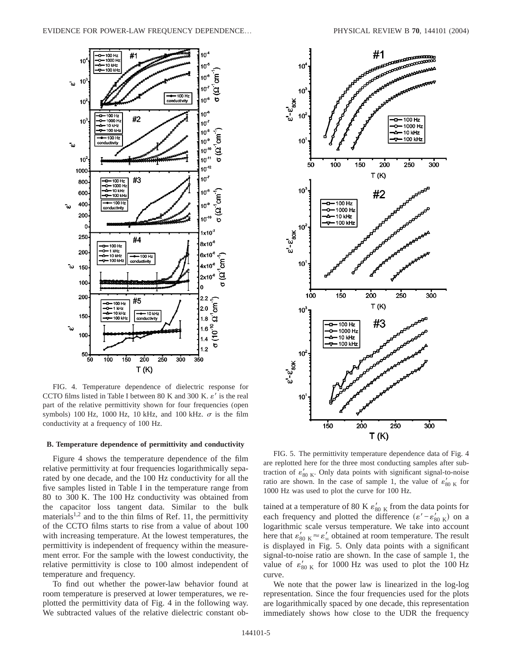

FIG. 4. Temperature dependence of dielectric response for CCTO films listed in Table I between 80 K and 300 K.  $\varepsilon'$  is the real part of the relative permittivity shown for four frequencies (open symbols) 100 Hz, 1000 Hz, 10 kHz, and 100 kHz.  $\sigma$  is the film conductivity at a frequency of 100 Hz.

#### **B. Temperature dependence of permittivity and conductivity**

Figure 4 shows the temperature dependence of the film relative permittivity at four frequencies logarithmically separated by one decade, and the 100 Hz conductivity for all the five samples listed in Table I in the temperature range from 80 to 300 K. The 100 Hz conductivity was obtained from the capacitor loss tangent data. Similar to the bulk materials<sup>1,2</sup> and to the thin films of Ref. 11, the permittivity of the CCTO films starts to rise from a value of about 100 with increasing temperature. At the lowest temperatures, the permittivity is independent of frequency within the measurement error. For the sample with the lowest conductivity, the relative permittivity is close to 100 almost independent of temperature and frequency.

To find out whether the power-law behavior found at room temperature is preserved at lower temperatures, we replotted the permittivity data of Fig. 4 in the following way. We subtracted values of the relative dielectric constant ob-



FIG. 5. The permittivity temperature dependence data of Fig. 4 are replotted here for the three most conducting samples after subtraction of  $\varepsilon'_{80\ \text{K}}$ . Only data points with significant signal-to-noise ratio are shown. In the case of sample 1, the value of  $\varepsilon'_{80 K}$  for 1000 Hz was used to plot the curve for 100 Hz.

tained at a temperature of 80 K  $\varepsilon'_{80 \text{ K}}$  from the data points for each frequency and plotted the difference  $(\varepsilon' - \varepsilon'_{80 \text{ K}})$  on a logarithmic scale versus temperature. We take into account here that  $\varepsilon'_{80\ \text{K}} \approx \varepsilon'_\infty$  obtained at room temperature. The result is displayed in Fig. 5. Only data points with a significant signal-to-noise ratio are shown. In the case of sample 1, the value of  $\varepsilon'_{80 \text{ K}}$  for 1000 Hz was used to plot the 100 Hz curve.

We note that the power law is linearized in the log-log representation. Since the four frequencies used for the plots are logarithmically spaced by one decade, this representation immediately shows how close to the UDR the frequency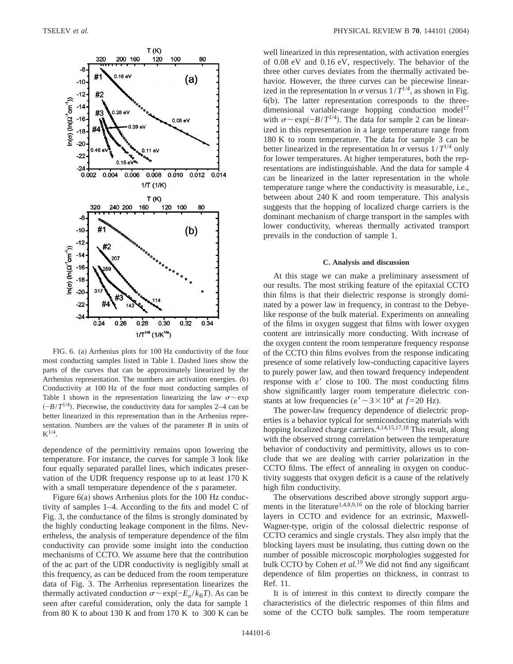

FIG. 6. (a) Arrhenius plots for 100 Hz conductivity of the four most conducting samples listed in Table I. Dashed lines show the parts of the curves that can be approximately linearized by the Arrhenius representation. The numbers are activation energies. (b) Conductivity at 100 Hz of the four most conducting samples of Table I shown in the representation linearizing the law  $\sigma \sim \exp$  $\left(-B/T^{1/4}\right)$ . Piecewise, the conductivity data for samples 2–4 can be better linearized in this representation than in the Arrhenius representation. Numbers are the values of the parameter *B* in units of  $K^{1/4}.$ 

dependence of the permittivity remains upon lowering the temperature. For instance, the curves for sample 3 look like four equally separated parallel lines, which indicates preservation of the UDR frequency response up to at least 170 K with a small temperature dependence of the *s* parameter.

Figure 6(a) shows Arrhenius plots for the 100 Hz conductivity of samples 1–4. According to the fits and model C of Fig. 3, the conductance of the films is strongly dominated by the highly conducting leakage component in the films. Nevertheless, the analysis of temperature dependence of the film conductivity can provide some insight into the conduction mechanisms of CCTO. We assume here that the contribution of the ac part of the UDR conductivity is negligibly small at this frequency, as can be deduced from the room temperature data of Fig. 3. The Arrhenius representation linearizes the thermally activated conduction  $σ~$ exp $(-E_a / k_B T)$ . As can be seen after careful consideration, only the data for sample 1 from 80 K to about 130 K and from 170 K to 300 K can be

well linearized in this representation, with activation energies of 0.08 eV and 0.16 eV, respectively. The behavior of the three other curves deviates from the thermally activated behavior. However, the three curves can be piecewise linearized in the representation ln  $\sigma$  versus  $1/T^{1/4}$ , as shown in Fig. 6(b). The latter representation corresponds to the threedimensional variable-range hopping conduction model<sup>17</sup> with  $\sigma \sim \exp(-B/T^{1/4})$ . The data for sample 2 can be linearized in this representation in a large temperature range from 180 K to room temperature. The data for sample 3 can be better linearized in the representation ln  $\sigma$  versus  $1/T^{1/4}$  only for lower temperatures. At higher temperatures, both the representations are indistinguishable. And the data for sample 4 can be linearized in the latter representation in the whole temperature range where the conductivity is measurable, i.e., between about 240 K and room temperature. This analysis suggests that the hopping of localized charge carriers is the dominant mechanism of charge transport in the samples with lower conductivity, whereas thermally activated transport prevails in the conduction of sample 1.

#### **C. Analysis and discussion**

At this stage we can make a preliminary assessment of our results. The most striking feature of the epitaxial CCTO thin films is that their dielectric response is strongly dominated by a power law in frequency, in contrast to the Debyelike response of the bulk material. Experiments on annealing of the films in oxygen suggest that films with lower oxygen content are intrinsically more conducting. With increase of the oxygen content the room temperature frequency response of the CCTO thin films evolves from the response indicating presence of some relatively low-conducting capacitive layers to purely power law, and then toward frequency independent response with  $\varepsilon'$  close to 100. The most conducting films show significantly larger room temperature dielectric constants at low frequencies ( $\varepsilon' \sim 3 \times 10^4$  at  $f = 20$  Hz).

The power-law frequency dependence of dielectric properties is a behavior typical for semiconducting materials with hopping localized charge carriers.<sup>4,14,15,17,18</sup> This result, along with the observed strong correlation between the temperature behavior of conductivity and permittivity, allows us to conclude that we are dealing with carrier polarization in the CCTO films. The effect of annealing in oxygen on conductivity suggests that oxygen deficit is a cause of the relatively high film conductivity.

The observations described above strongly support arguments in the literature<sup>1,4,8,9,16</sup> on the role of blocking barrier layers in CCTO and evidence for an extrinsic, Maxwell-Wagner-type, origin of the colossal dielectric response of CCTO ceramics and single crystals. They also imply that the blocking layers must be insulating, thus cutting down on the number of possible microscopic morphologies suggested for bulk CCTO by Cohen *et al.*<sup>19</sup> We did not find any significant dependence of film properties on thickness, in contrast to Ref. 11.

It is of interest in this context to directly compare the characteristics of the dielectric responses of thin films and some of the CCTO bulk samples. The room temperature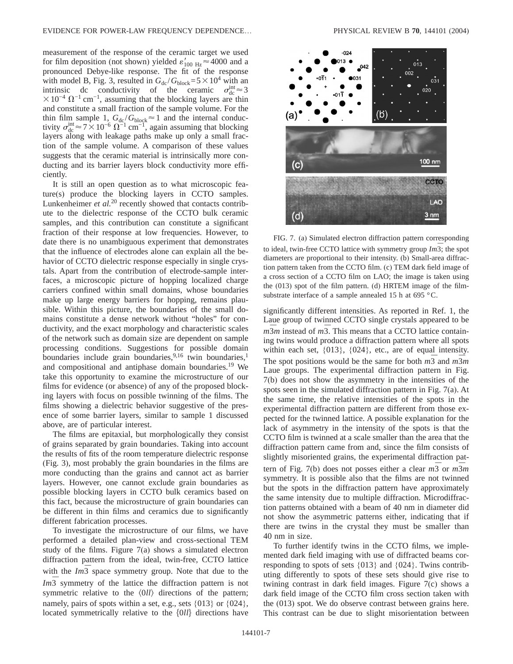measurement of the response of the ceramic target we used for film deposition (not shown) yielded  $\varepsilon'_{100 \text{ Hz}} \approx 4000$  and a pronounced Debye-like response. The fit of the response with model B, Fig. 3, resulted in  $G_{dc} / G_{block} = 5 \times 10^4$  with an intrinsic dc conductivity of the ceramic  $\sigma_{dc}^{int} \approx 3$  $\times$ 10<sup>-4</sup>  $\Omega$ <sup>-1</sup> cm<sup>-1</sup>, assuming that the blocking layers are thin and constitute a small fraction of the sample volume. For the thin film sample 1,  $G_{dc}/G_{block} \approx 1$  and the internal conductivity  $\sigma_{\text{dc}}^{\text{int}} \approx 7 \times 10^{-6} \Omega^{-1} \text{ cm}^{-1}$ , again assuming that blocking layers along with leakage paths make up only a small fraction of the sample volume. A comparison of these values suggests that the ceramic material is intrinsically more conducting and its barrier layers block conductivity more efficiently.

It is still an open question as to what microscopic feature(s) produce the blocking layers in CCTO samples. Lunkenheimer *et al.*<sup>20</sup> recently showed that contacts contribute to the dielectric response of the CCTO bulk ceramic samples, and this contribution can constitute a significant fraction of their response at low frequencies. However, to date there is no unambiguous experiment that demonstrates that the influence of electrodes alone can explain all the behavior of CCTO dielectric response especially in single crystals. Apart from the contribution of electrode-sample interfaces, a microscopic picture of hopping localized charge carriers confined within small domains, whose boundaries make up large energy barriers for hopping, remains plausible. Within this picture, the boundaries of the small domains constitute a dense network without "holes" for conductivity, and the exact morphology and characteristic scales of the network such as domain size are dependent on sample processing conditions. Suggestions for possible domain boundaries include grain boundaries,<sup>9,16</sup> twin boundaries,<sup>1</sup> and compositional and antiphase domain boundaries.<sup>19</sup> We take this opportunity to examine the microstructure of our films for evidence (or absence) of any of the proposed blocking layers with focus on possible twinning of the films. The films showing a dielectric behavior suggestive of the presence of some barrier layers, similar to sample 1 discussed above, are of particular interest.

The films are epitaxial, but morphologically they consist of grains separated by grain boundaries. Taking into account the results of fits of the room temperature dielectric response (Fig. 3), most probably the grain boundaries in the films are more conducting than the grains and cannot act as barrier layers. However, one cannot exclude grain boundaries as possible blocking layers in CCTO bulk ceramics based on this fact, because the microstructure of grain boundaries can be different in thin films and ceramics due to significantly different fabrication processes.

To investigate the microstructure of our films, we have performed a detailed plan-view and cross-sectional TEM study of the films. Figure 7(a) shows a simulated electron diffraction pattern from the ideal, twin-free, CCTO lattice with the  $Im\overline{3}$  space symmetry group. Note that due to the  $Im\overline{3}$  symmetry of the lattice the diffraction pattern is not symmetric relative to the  $\langle 0 \, l \rangle$  directions of the pattern; namely, pairs of spots within a set, e.g., sets  $\{013\}$  or  $\{024\}$ , located symmetrically relative to the  $\{0ll\}$  directions have



FIG. 7. (a) Simulated electron diffraction pattern corresponding to ideal, twin-free CCTO lattice with symmetry group  $Im\overline{3}$ ; the spot diameters are proportional to their intensity. (b) Small-area diffraction pattern taken from the CCTO film. (c) TEM dark field image of a cross section of a CCTO film on LAO; the image is taken using the (013) spot of the film pattern. (d) HRTEM image of the filmsubstrate interface of a sample annealed 15 h at 695 °C.

significantly different intensities. As reported in Ref. 1, the Laue group of twinned CCTO single crystals appeared to be  $\frac{1}{m^3}$ *m* instead of  $m\overline{3}$ . This means that a CCTO lattice containing twins would produce a diffraction pattern where all spots within each set, {013}, {024}, etc., are of equal intensity. The spot positions would be the same for both  $m\overline{3}$  and  $m\overline{3}m$ Laue groups. The experimental diffraction pattern in Fig. 7(b) does not show the asymmetry in the intensities of the spots seen in the simulated diffraction pattern in Fig. 7(a). At the same time, the relative intensities of the spots in the experimental diffraction pattern are different from those expected for the twinned lattice. A possible explanation for the lack of asymmetry in the intensity of the spots is that the CCTO film is twinned at a scale smaller than the area that the diffraction pattern came from and, since the film consists of slightly misoriented grains, the experimental diffraction pattern of Fig. 7(b) does not posses either a clear  $m\overline{3}$  or  $m\overline{3}m$ symmetry. It is possible also that the films are not twinned but the spots in the diffraction pattern have approximately the same intensity due to multiple diffraction. Microdiffraction patterns obtained with a beam of 40 nm in diameter did not show the asymmetric patterns either, indicating that if there are twins in the crystal they must be smaller than 40 nm in size.

To further identify twins in the CCTO films, we implemented dark field imaging with use of diffracted beams corresponding to spots of sets {013} and {024}. Twins contributing differently to spots of these sets should give rise to twining contrast in dark field images. Figure 7(c) shows a dark field image of the CCTO film cross section taken with the (013) spot. We do observe contrast between grains here. This contrast can be due to slight misorientation between